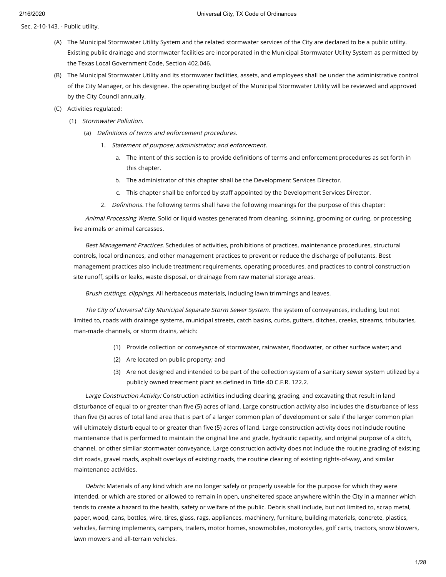Sec. 2-10-143. - Public utility.

- (A) The Municipal Stormwater Utility System and the related stormwater services of the City are declared to be a public utility. Existing public drainage and stormwater facilities are incorporated in the Municipal Stormwater Utility System as permitted by the Texas Local Government Code, Section 402.046.
- (B) The Municipal Stormwater Utility and its stormwater facilities, assets, and employees shall be under the administrative control of the City Manager, or his designee. The operating budget of the Municipal Stormwater Utility will be reviewed and approved by the City Council annually.
- (C) Activities regulated:
	- (1) Stormwater Pollution.
		- (a) Definitions of terms and enforcement procedures.
			- 1. Statement of purpose; administrator; and enforcement.
				- a. The intent of this section is to provide definitions of terms and enforcement procedures as set forth in this chapter.
				- b. The administrator of this chapter shall be the Development Services Director.
				- c. This chapter shall be enforced by staff appointed by the Development Services Director.
			- 2. *Definitions.* The following terms shall have the following meanings for the purpose of this chapter:

Animal Processing Waste. Solid or liquid wastes generated from cleaning, skinning, grooming or curing, or processing live animals or animal carcasses.

Best Management Practices. Schedules of activities, prohibitions of practices, maintenance procedures, structural controls, local ordinances, and other management practices to prevent or reduce the discharge of pollutants. Best management practices also include treatment requirements, operating procedures, and practices to control construction site runoff, spills or leaks, waste disposal, or drainage from raw material storage areas.

Brush cuttings, clippings. All herbaceous materials, including lawn trimmings and leaves.

The City of Universal City Municipal Separate Storm Sewer System. The system of conveyances, including, but not limited to, roads with drainage systems, municipal streets, catch basins, curbs, gutters, ditches, creeks, streams, tributaries, man-made channels, or storm drains, which:

- (1) Provide collection or conveyance of stormwater, rainwater, floodwater, or other surface water; and
- (2) Are located on public property; and
- (3) Are not designed and intended to be part of the collection system of a sanitary sewer system utilized by a publicly owned treatment plant as defined in Title 40 C.F.R. 122.2.

Large Construction Activity: Construction activities including clearing, grading, and excavating that result in land disturbance of equal to or greater than five (5) acres of land. Large construction activity also includes the disturbance of less than five (5) acres of total land area that is part of a larger common plan of development or sale if the larger common plan will ultimately disturb equal to or greater than five (5) acres of land. Large construction activity does not include routine maintenance that is performed to maintain the original line and grade, hydraulic capacity, and original purpose of a ditch, channel, or other similar stormwater conveyance. Large construction activity does not include the routine grading of existing dirt roads, gravel roads, asphalt overlays of existing roads, the routine clearing of existing rights-of-way, and similar maintenance activities.

Debris: Materials of any kind which are no longer safely or properly useable for the purpose for which they were intended, or which are stored or allowed to remain in open, unsheltered space anywhere within the City in a manner which tends to create a hazard to the health, safety or welfare of the public. Debris shall include, but not limited to, scrap metal, paper, wood, cans, bottles, wire, tires, glass, rags, appliances, machinery, furniture, building materials, concrete, plastics, vehicles, farming implements, campers, trailers, motor homes, snowmobiles, motorcycles, golf carts, tractors, snow blowers, lawn mowers and all-terrain vehicles.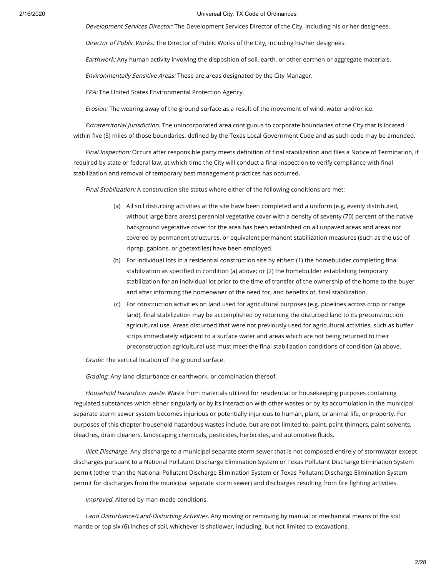Development Services Director: The Development Services Director of the City, including his or her designees.

Director of Public Works: The Director of Public Works of the City, including his/her designees.

Earthwork: Any human activity involving the disposition of soil, earth, or other earthen or aggregate materials.

Environmentally Sensitive Areas: These are areas designated by the City Manager.

EPA: The United States Environmental Protection Agency.

Erosion: The wearing away of the ground surface as a result of the movement of wind, water and/or ice.

Extraterritorial Jurisdiction. The unincorporated area contiguous to corporate boundaries of the City that is located within five (5) miles of those boundaries, defined by the Texas Local Government Code and as such code may be amended.

Final Inspection: Occurs after responsible party meets definition of final stabilization and files a Notice of Termination, if required by state or federal law, at which time the City will conduct a final inspection to verify compliance with final stabilization and removal of temporary best management practices has occurred.

Final Stabilization: A construction site status where either of the following conditions are met:

- (a) All soil disturbing activities at the site have been completed and a uniform (e.g, evenly distributed, without large bare areas) perennial vegetative cover with a density of seventy (70) percent of the native background vegetative cover for the area has been established on all unpaved areas and areas not covered by permanent structures, or equivalent permanent stabilization measures (such as the use of riprap, gabions, or goetextiles) have been employed.
- (b) For individual lots in a residential construction site by either: (1) the homebuilder completing final stabilization as specified in condition (a) above; or (2) the homebuilder establishing temporary stabilization for an individual lot prior to the time of transfer of the ownership of the home to the buyer and after informing the homeowner of the need for, and benefits of, final stabilization.
- (c) For construction activities on land used for agricultural purposes (e.g. pipelines across crop or range land), final stabilization may be accomplished by returning the disturbed land to its preconstruction agricultural use. Areas disturbed that were not previously used for agricultural activities, such as buffer strips immediately adjacent to a surface water and areas which are not being returned to their preconstruction agricultural use must meet the final stabilization conditions of condition (a) above.

Grade: The vertical location of the ground surface.

Grading: Any land disturbance or earthwork, or combination thereof.

Household hazardous waste. Waste from materials utilized for residential or housekeeping purposes containing regulated substances which either singularly or by its interaction with other wastes or by its accumulation in the municipal separate storm sewer system becomes injurious or potentially injurious to human, plant, or animal life, or property. For purposes of this chapter household hazardous wastes include, but are not limited to, paint, paint thinners, paint solvents, bleaches, drain cleaners, landscaping chemicals, pesticides, herbicides, and automotive fluids.

Illicit Discharge. Any discharge to a municipal separate storm sewer that is not composed entirely of stormwater except discharges pursuant to a National Pollutant Discharge Elimination System or Texas Pollutant Discharge Elimination System permit (other than the National Pollutant Discharge Elimination System or Texas Pollutant Discharge Elimination System permit for discharges from the municipal separate storm sewer) and discharges resulting from fire fighting activities.

Improved. Altered by man-made conditions.

Land Disturbance/Land-Disturbing Activities. Any moving or removing by manual or mechanical means of the soil mantle or top six (6) inches of soil, whichever is shallower, including, but not limited to excavations.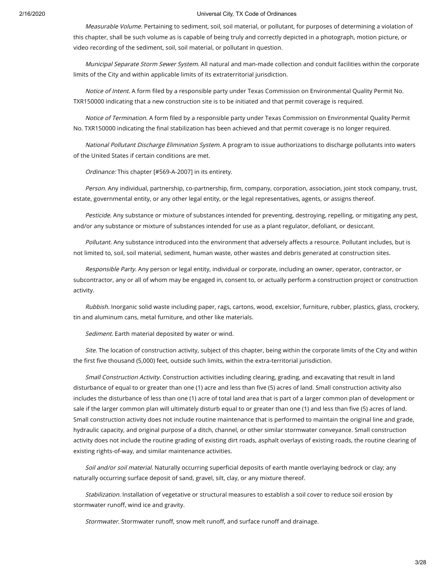Measurable Volume. Pertaining to sediment, soil, soil material, or pollutant, for purposes of determining a violation of this chapter, shall be such volume as is capable of being truly and correctly depicted in a photograph, motion picture, or video recording of the sediment, soil, soil material, or pollutant in question.

Municipal Separate Storm Sewer System. All natural and man-made collection and conduit facilities within the corporate limits of the City and within applicable limits of its extraterritorial jurisdiction.

Notice of Intent. A form filed by a responsible party under Texas Commission on Environmental Quality Permit No. TXR150000 indicating that a new construction site is to be initiated and that permit coverage is required.

Notice of Termination. A form filed by a responsible party under Texas Commission on Environmental Quality Permit No. TXR150000 indicating the final stabilization has been achieved and that permit coverage is no longer required.

National Pollutant Discharge Elimination System. A program to issue authorizations to discharge pollutants into waters of the United States if certain conditions are met.

Ordinance: This chapter [#569-A-2007] in its entirety.

Person. Any individual, partnership, co-partnership, firm, company, corporation, association, joint stock company, trust, estate, governmental entity, or any other legal entity, or the legal representatives, agents, or assigns thereof.

Pesticide. Any substance or mixture of substances intended for preventing, destroying, repelling, or mitigating any pest, and/or any substance or mixture of substances intended for use as a plant regulator, defoliant, or desiccant.

Pollutant. Any substance introduced into the environment that adversely affects a resource. Pollutant includes, but is not limited to, soil, soil material, sediment, human waste, other wastes and debris generated at construction sites.

Responsible Party. Any person or legal entity, individual or corporate, including an owner, operator, contractor, or subcontractor, any or all of whom may be engaged in, consent to, or actually perform a construction project or construction activity.

Rubbish. Inorganic solid waste including paper, rags, cartons, wood, excelsior, furniture, rubber, plastics, glass, crockery, tin and aluminum cans, metal furniture, and other like materials.

Sediment. Earth material deposited by water or wind.

Site. The location of construction activity, subject of this chapter, being within the corporate limits of the City and within the first five thousand (5,000) feet, outside such limits, within the extra-territorial jurisdiction.

Small Construction Activity. Construction activities including clearing, grading, and excavating that result in land disturbance of equal to or greater than one (1) acre and less than five (5) acres of land. Small construction activity also includes the disturbance of less than one (1) acre of total land area that is part of a larger common plan of development or sale if the larger common plan will ultimately disturb equal to or greater than one (1) and less than five (5) acres of land. Small construction activity does not include routine maintenance that is performed to maintain the original line and grade, hydraulic capacity, and original purpose of a ditch, channel, or other similar stormwater conveyance. Small construction activity does not include the routine grading of existing dirt roads, asphalt overlays of existing roads, the routine clearing of existing rights-of-way, and similar maintenance activities.

Soil and/or soil material. Naturally occurring superficial deposits of earth mantle overlaying bedrock or clay; any naturally occurring surface deposit of sand, gravel, silt, clay, or any mixture thereof.

Stabilization. Installation of vegetative or structural measures to establish a soil cover to reduce soil erosion by stormwater runoff, wind ice and gravity.

Stormwater. Stormwater runoff, snow melt runoff, and surface runoff and drainage.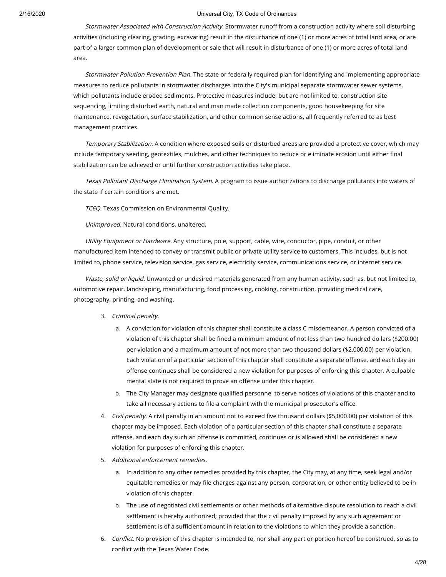Stormwater Associated with Construction Activity. Stormwater runoff from a construction activity where soil disturbing activities (including clearing, grading, excavating) result in the disturbance of one (1) or more acres of total land area, or are part of a larger common plan of development or sale that will result in disturbance of one (1) or more acres of total land area.

Stormwater Pollution Prevention Plan. The state or federally required plan for identifying and implementing appropriate measures to reduce pollutants in stormwater discharges into the City's municipal separate stormwater sewer systems, which pollutants include eroded sediments. Protective measures include, but are not limited to, construction site sequencing, limiting disturbed earth, natural and man made collection components, good housekeeping for site maintenance, revegetation, surface stabilization, and other common sense actions, all frequently referred to as best management practices.

Temporary Stabilization. A condition where exposed soils or disturbed areas are provided a protective cover, which may include temporary seeding, geotextiles, mulches, and other techniques to reduce or eliminate erosion until either final stabilization can be achieved or until further construction activities take place.

Texas Pollutant Discharge Elimination System. A program to issue authorizations to discharge pollutants into waters of the state if certain conditions are met.

TCEQ. Texas Commission on Environmental Quality.

Unimproved. Natural conditions, unaltered.

Utility Equipment or Hardware. Any structure, pole, support, cable, wire, conductor, pipe, conduit, or other manufactured item intended to convey or transmit public or private utility service to customers. This includes, but is not limited to, phone service, television service, gas service, electricity service, communications service, or internet service.

Waste, solid or liquid. Unwanted or undesired materials generated from any human activity, such as, but not limited to, automotive repair, landscaping, manufacturing, food processing, cooking, construction, providing medical care, photography, printing, and washing.

## 3. Criminal penalty.

- a. A conviction for violation of this chapter shall constitute a class C misdemeanor. A person convicted of a violation of this chapter shall be fined a minimum amount of not less than two hundred dollars (\$200.00) per violation and a maximum amount of not more than two thousand dollars (\$2,000.00) per violation. Each violation of a particular section of this chapter shall constitute a separate offense, and each day an offense continues shall be considered a new violation for purposes of enforcing this chapter. A culpable mental state is not required to prove an offense under this chapter.
- b. The City Manager may designate qualified personnel to serve notices of violations of this chapter and to take all necessary actions to file a complaint with the municipal prosecutor's office.
- 4. *Civil penalty.* A civil penalty in an amount not to exceed five thousand dollars (\$5,000.00) per violation of this chapter may be imposed. Each violation of a particular section of this chapter shall constitute a separate offense, and each day such an offense is committed, continues or is allowed shall be considered a new violation for purposes of enforcing this chapter.
- 5. Additional enforcement remedies.
	- a. In addition to any other remedies provided by this chapter, the City may, at any time, seek legal and/or equitable remedies or may file charges against any person, corporation, or other entity believed to be in violation of this chapter.
	- b. The use of negotiated civil settlements or other methods of alternative dispute resolution to reach a civil settlement is hereby authorized; provided that the civil penalty imposed by any such agreement or settlement is of a sufficient amount in relation to the violations to which they provide a sanction.
- 6. Conflict. No provision of this chapter is intended to, nor shall any part or portion hereof be construed, so as to conflict with the Texas Water Code.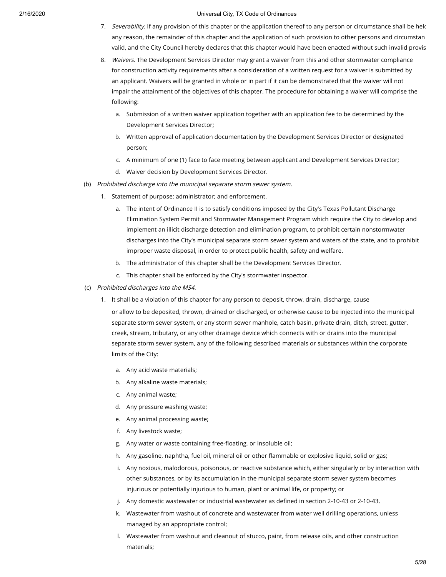- 7. *Severability.* If any provision of this chapter or the application thereof to any person or circumstance shall be held any reason, the remainder of this chapter and the application of such provision to other persons and circumstan valid, and the City Council hereby declares that this chapter would have been enacted without such invalid provis
- 8. *Waivers.* The Development Services Director may grant a waiver from this and other stormwater compliance for construction activity requirements after a consideration of a written request for a waiver is submitted by an applicant. Waivers will be granted in whole or in part if it can be demonstrated that the waiver will not impair the attainment of the objectives of this chapter. The procedure for obtaining a waiver will comprise the following:
	- a. Submission of a written waiver application together with an application fee to be determined by the Development Services Director;
	- b. Written approval of application documentation by the Development Services Director or designated person;
	- c. A minimum of one (1) face to face meeting between applicant and Development Services Director;
	- d. Waiver decision by Development Services Director.
- (b) Prohibited discharge into the municipal separate storm sewer system.
	- 1. Statement of purpose; administrator; and enforcement.
		- a. The intent of Ordinance II is to satisfy conditions imposed by the City's Texas Pollutant Discharge Elimination System Permit and Stormwater Management Program which require the City to develop and implement an illicit discharge detection and elimination program, to prohibit certain nonstormwater discharges into the City's municipal separate storm sewer system and waters of the state, and to prohibit improper waste disposal, in order to protect public health, safety and welfare.
		- b. The administrator of this chapter shall be the Development Services Director.
		- c. This chapter shall be enforced by the City's stormwater inspector.
- (c) Prohibited discharges into the MS4.
	- 1. It shall be a violation of this chapter for any person to deposit, throw, drain, discharge, cause

or allow to be deposited, thrown, drained or discharged, or otherwise cause to be injected into the municipal separate storm sewer system, or any storm sewer manhole, catch basin, private drain, ditch, street, gutter, creek, stream, tributary, or any other drainage device which connects with or drains into the municipal separate storm sewer system, any of the following described materials or substances within the corporate limits of the City:

- a. Any acid waste materials;
- b. Any alkaline waste materials;
- c. Any animal waste;
- d. Any pressure washing waste;
- e. Any animal processing waste;
- f. Any livestock waste;
- g. Any water or waste containing free-floating, or insoluble oil;
- h. Any gasoline, naphtha, fuel oil, mineral oil or other flammable or explosive liquid, solid or gas;
- i. Any noxious, malodorous, poisonous, or reactive substance which, either singularly or by interaction with other substances, or by its accumulation in the municipal separate storm sewer system becomes injurious or potentially injurious to human, plant or animal life, or property; or
- j. Any domestic wastewater or industrial wastewater as defined in <u>section [2-10-43](https://library.municode.com/)</u> or <u>2-10-43</u>.
- k. Wastewater from washout of concrete and wastewater from water well drilling operations, unless managed by an appropriate control;
- l. Wastewater from washout and cleanout of stucco, paint, from release oils, and other construction materials;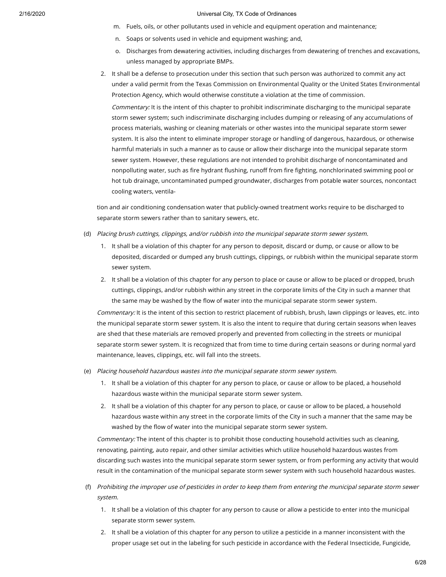- m. Fuels, oils, or other pollutants used in vehicle and equipment operation and maintenance;
- n. Soaps or solvents used in vehicle and equipment washing; and,
- o. Discharges from dewatering activities, including discharges from dewatering of trenches and excavations, unless managed by appropriate BMPs.
- 2. It shall be a defense to prosecution under this section that such person was authorized to commit any act under a valid permit from the Texas Commission on Environmental Quality or the United States Environmental Protection Agency, which would otherwise constitute a violation at the time of commission.

Commentary: It is the intent of this chapter to prohibit indiscriminate discharging to the municipal separate storm sewer system; such indiscriminate discharging includes dumping or releasing of any accumulations of process materials, washing or cleaning materials or other wastes into the municipal separate storm sewer system. It is also the intent to eliminate improper storage or handling of dangerous, hazardous, or otherwise harmful materials in such a manner as to cause or allow their discharge into the municipal separate storm sewer system. However, these regulations are not intended to prohibit discharge of noncontaminated and nonpolluting water, such as fire hydrant flushing, runoff from fire fighting, nonchlorinated swimming pool or hot tub drainage, uncontaminated pumped groundwater, discharges from potable water sources, noncontact cooling waters, ventila-

tion and air conditioning condensation water that publicly-owned treatment works require to be discharged to separate storm sewers rather than to sanitary sewers, etc.

- (d) Placing brush cuttings, clippings, and/or rubbish into the municipal separate storm sewer system.
	- 1. It shall be a violation of this chapter for any person to deposit, discard or dump, or cause or allow to be deposited, discarded or dumped any brush cuttings, clippings, or rubbish within the municipal separate storm sewer system.
	- 2. It shall be a violation of this chapter for any person to place or cause or allow to be placed or dropped, brush cuttings, clippings, and/or rubbish within any street in the corporate limits of the City in such a manner that the same may be washed by the flow of water into the municipal separate storm sewer system.

Commentary: It is the intent of this section to restrict placement of rubbish, brush, lawn clippings or leaves, etc. into the municipal separate storm sewer system. It is also the intent to require that during certain seasons when leaves are shed that these materials are removed properly and prevented from collecting in the streets or municipal separate storm sewer system. It is recognized that from time to time during certain seasons or during normal yard maintenance, leaves, clippings, etc. will fall into the streets.

- (e) Placing household hazardous wastes into the municipal separate storm sewer system.
	- 1. It shall be a violation of this chapter for any person to place, or cause or allow to be placed, a household hazardous waste within the municipal separate storm sewer system.
	- 2. It shall be a violation of this chapter for any person to place, or cause or allow to be placed, a household hazardous waste within any street in the corporate limits of the City in such a manner that the same may be washed by the flow of water into the municipal separate storm sewer system.

Commentary: The intent of this chapter is to prohibit those conducting household activities such as cleaning, renovating, painting, auto repair, and other similar activities which utilize household hazardous wastes from discarding such wastes into the municipal separate storm sewer system, or from performing any activity that would result in the contamination of the municipal separate storm sewer system with such household hazardous wastes.

- (f) Prohibiting the improper use of pesticides in order to keep them from entering the municipal separate storm sewer system.
	- 1. It shall be a violation of this chapter for any person to cause or allow a pesticide to enter into the municipal separate storm sewer system.
	- 2. It shall be a violation of this chapter for any person to utilize a pesticide in a manner inconsistent with the proper usage set out in the labeling for such pesticide in accordance with the Federal Insecticide, Fungicide,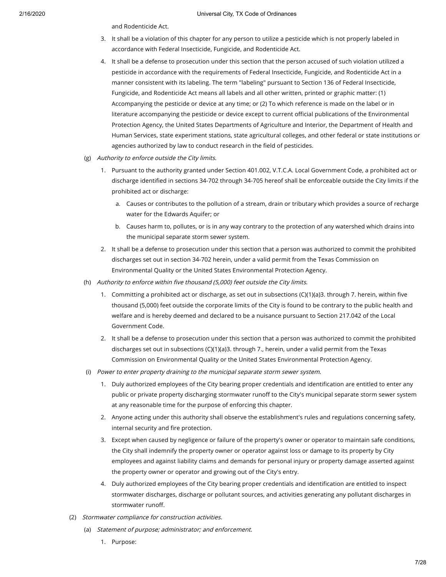and Rodenticide Act.

- 3. It shall be a violation of this chapter for any person to utilize a pesticide which is not properly labeled in accordance with Federal Insecticide, Fungicide, and Rodenticide Act.
- 4. It shall be a defense to prosecution under this section that the person accused of such violation utilized a pesticide in accordance with the requirements of Federal Insecticide, Fungicide, and Rodenticide Act in a manner consistent with its labeling. The term "labeling" pursuant to Section 136 of Federal Insecticide, Fungicide, and Rodenticide Act means all labels and all other written, printed or graphic matter: (1) Accompanying the pesticide or device at any time; or (2) To which reference is made on the label or in literature accompanying the pesticide or device except to current official publications of the Environmental Protection Agency, the United States Departments of Agriculture and Interior, the Department of Health and Human Services, state experiment stations, state agricultural colleges, and other federal or state institutions or agencies authorized by law to conduct research in the field of pesticides.
- (g) Authority to enforce outside the City limits.
	- 1. Pursuant to the authority granted under Section 401.002, V.T.C.A. Local Government Code, a prohibited act or discharge identified in sections 34-702 through 34-705 hereof shall be enforceable outside the City limits if the prohibited act or discharge:
		- a. Causes or contributes to the pollution of a stream, drain or tributary which provides a source of recharge water for the Edwards Aquifer; or
		- b. Causes harm to, pollutes, or is in any way contrary to the protection of any watershed which drains into the municipal separate storm sewer system.
	- 2. It shall be a defense to prosecution under this section that a person was authorized to commit the prohibited discharges set out in section 34-702 herein, under a valid permit from the Texas Commission on Environmental Quality or the United States Environmental Protection Agency.
- (h) Authority to enforce within five thousand (5,000) feet outside the City limits.
	- 1. Committing a prohibited act or discharge, as set out in subsections (C)(1)(a)3. through 7. herein, within five thousand (5,000) feet outside the corporate limits of the City is found to be contrary to the public health and welfare and is hereby deemed and declared to be a nuisance pursuant to Section 217.042 of the Local Government Code.
	- 2. It shall be a defense to prosecution under this section that a person was authorized to commit the prohibited discharges set out in subsections (C)(1)(a)3. through 7., herein, under a valid permit from the Texas Commission on Environmental Quality or the United States Environmental Protection Agency.
- (i) Power to enter property draining to the municipal separate storm sewer system.
	- 1. Duly authorized employees of the City bearing proper credentials and identification are entitled to enter any public or private property discharging stormwater runoff to the City's municipal separate storm sewer system at any reasonable time for the purpose of enforcing this chapter.
	- 2. Anyone acting under this authority shall observe the establishment's rules and regulations concerning safety, internal security and fire protection.
	- 3. Except when caused by negligence or failure of the property's owner or operator to maintain safe conditions, the City shall indemnify the property owner or operator against loss or damage to its property by City employees and against liability claims and demands for personal injury or property damage asserted against the property owner or operator and growing out of the City's entry.
	- 4. Duly authorized employees of the City bearing proper credentials and identification are entitled to inspect stormwater discharges, discharge or pollutant sources, and activities generating any pollutant discharges in stormwater runoff.
- (2) Stormwater compliance for construction activities.
	- (a) Statement of purpose; administrator; and enforcement.
		- 1. Purpose: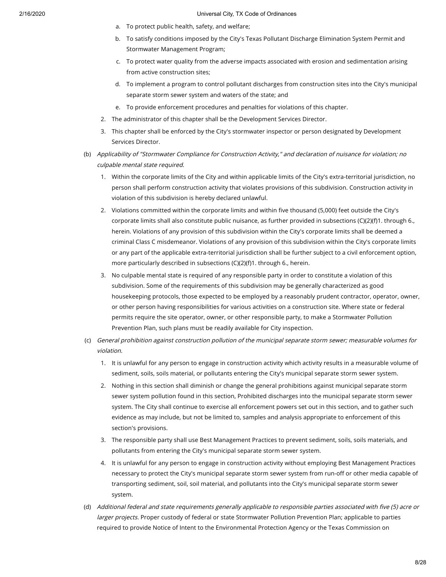- a. To protect public health, safety, and welfare;
- b. To satisfy conditions imposed by the City's Texas Pollutant Discharge Elimination System Permit and Stormwater Management Program;
- c. To protect water quality from the adverse impacts associated with erosion and sedimentation arising from active construction sites;
- d. To implement a program to control pollutant discharges from construction sites into the City's municipal separate storm sewer system and waters of the state; and
- e. To provide enforcement procedures and penalties for violations of this chapter.
- 2. The administrator of this chapter shall be the Development Services Director.
- 3. This chapter shall be enforced by the City's stormwater inspector or person designated by Development Services Director.
- (b) Applicability of "Stormwater Compliance for Construction Activity," and declaration of nuisance for violation; no culpable mental state required.
	- 1. Within the corporate limits of the City and within applicable limits of the City's extra-territorial jurisdiction, no person shall perform construction activity that violates provisions of this subdivision. Construction activity in violation of this subdivision is hereby declared unlawful.
	- 2. Violations committed within the corporate limits and within five thousand (5,000) feet outside the City's corporate limits shall also constitute public nuisance, as further provided in subsections (C)(2)(f)1. through 6., herein. Violations of any provision of this subdivision within the City's corporate limits shall be deemed a criminal Class C misdemeanor. Violations of any provision of this subdivision within the City's corporate limits or any part of the applicable extra-territorial jurisdiction shall be further subject to a civil enforcement option, more particularly described in subsections (C)(2)(f)1. through 6., herein.
	- 3. No culpable mental state is required of any responsible party in order to constitute a violation of this subdivision. Some of the requirements of this subdivision may be generally characterized as good housekeeping protocols, those expected to be employed by a reasonably prudent contractor, operator, owner, or other person having responsibilities for various activities on a construction site. Where state or federal permits require the site operator, owner, or other responsible party, to make a Stormwater Pollution Prevention Plan, such plans must be readily available for City inspection.
- (c) General prohibition against construction pollution of the municipal separate storm sewer; measurable volumes for violation.
	- 1. It is unlawful for any person to engage in construction activity which activity results in a measurable volume of sediment, soils, soils material, or pollutants entering the City's municipal separate storm sewer system.
	- 2. Nothing in this section shall diminish or change the general prohibitions against municipal separate storm sewer system pollution found in this section, Prohibited discharges into the municipal separate storm sewer system. The City shall continue to exercise all enforcement powers set out in this section, and to gather such evidence as may include, but not be limited to, samples and analysis appropriate to enforcement of this section's provisions.
	- 3. The responsible party shall use Best Management Practices to prevent sediment, soils, soils materials, and pollutants from entering the City's municipal separate storm sewer system.
	- 4. It is unlawful for any person to engage in construction activity without employing Best Management Practices necessary to protect the City's municipal separate storm sewer system from run-off or other media capable of transporting sediment, soil, soil material, and pollutants into the City's municipal separate storm sewer system.
- (d) Additional federal and state requirements generally applicable to responsible parties associated with five (5) acre or larger projects. Proper custody of federal or state Stormwater Pollution Prevention Plan; applicable to parties required to provide Notice of Intent to the Environmental Protection Agency or the Texas Commission on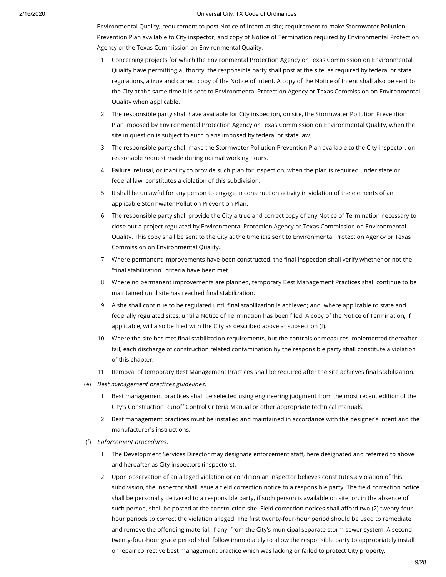Environmental Quality; requirement to post Notice of Intent at site; requirement to make Stormwater Pollution Prevention Plan available to City inspector; and copy of Notice of Termination required by Environmental Protection Agency or the Texas Commission on Environmental Quality.

- 1. Concerning projects for which the Environmental Protection Agency or Texas Commission on Environmental Quality have permitting authority, the responsible party shall post at the site, as required by federal or state regulations, a true and correct copy of the Notice of Intent. A copy of the Notice of Intent shall also be sent to the City at the same time it is sent to Environmental Protection Agency or Texas Commission on Environmental Quality when applicable.
- 2. The responsible party shall have available for City inspection, on site, the Stormwater Pollution Prevention Plan imposed by Environmental Protection Agency or Texas Commission on Environmental Quality, when the site in question is subject to such plans imposed by federal or state law.
- 3. The responsible party shall make the Stormwater Pollution Prevention Plan available to the City inspector, on reasonable request made during normal working hours.
- 4. Failure, refusal, or inability to provide such plan for inspection, when the plan is required under state or federal law, constitutes a violation of this subdivision.
- 5. It shall be unlawful for any person to engage in construction activity in violation of the elements of an applicable Stormwater Pollution Prevention Plan.
- 6. The responsible party shall provide the City a true and correct copy of any Notice of Termination necessary to close out a project regulated by Environmental Protection Agency or Texas Commission on Environmental Quality. This copy shall be sent to the City at the time it is sent to Environmental Protection Agency or Texas Commission on Environmental Quality.
- 7. Where permanent improvements have been constructed, the final inspection shall verify whether or not the "final stabilization" criteria have been met.
- 8. Where no permanent improvements are planned, temporary Best Management Practices shall continue to be maintained until site has reached final stabilization.
- 9. A site shall continue to be regulated until final stabilization is achieved; and, where applicable to state and federally regulated sites, until a Notice of Termination has been filed. A copy of the Notice of Termination, if applicable, will also be filed with the City as described above at subsection (f).
- 10. Where the site has met final stabilization requirements, but the controls or measures implemented thereafter fail, each discharge of construction related contamination by the responsible party shall constitute a violation of this chapter.
- 11. Removal of temporary Best Management Practices shall be required after the site achieves final stabilization.
- (e) Best management practices guidelines.
	- 1. Best management practices shall be selected using engineering judgment from the most recent edition of the City's Construction Runoff Control Criteria Manual or other appropriate technical manuals.
	- 2. Best management practices must be installed and maintained in accordance with the designer's intent and the manufacturer's instructions.
- (f) Enforcement procedures.
	- 1. The Development Services Director may designate enforcement staff, here designated and referred to above and hereafter as City inspectors (inspectors).
	- 2. Upon observation of an alleged violation or condition an inspector believes constitutes a violation of this subdivision, the Inspector shall issue a field correction notice to a responsible party. The field correction notice shall be personally delivered to a responsible party, if such person is available on site; or, in the absence of such person, shall be posted at the construction site. Field correction notices shall afford two (2) twenty-fourhour periods to correct the violation alleged. The first twenty-four-hour period should be used to remediate and remove the offending material, if any, from the City's municipal separate storm sewer system. A second twenty-four-hour grace period shall follow immediately to allow the responsible party to appropriately install or repair corrective best management practice which was lacking or failed to protect City property.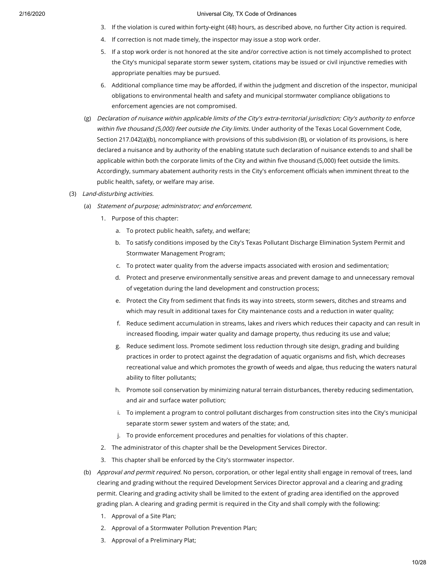- 3. If the violation is cured within forty-eight (48) hours, as described above, no further City action is required.
- 4. If correction is not made timely, the inspector may issue a stop work order.
- 5. If a stop work order is not honored at the site and/or corrective action is not timely accomplished to protect the City's municipal separate storm sewer system, citations may be issued or civil injunctive remedies with appropriate penalties may be pursued.
- 6. Additional compliance time may be afforded, if within the judgment and discretion of the inspector, municipal obligations to environmental health and safety and municipal stormwater compliance obligations to enforcement agencies are not compromised.
- (g) Declaration of nuisance within applicable limits of the City's extra-territorial jurisdiction; City's authority to enforce within five thousand (5,000) feet outside the City limits. Under authority of the Texas Local Government Code, Section 217.042(a)(b), noncompliance with provisions of this subdivision (B), or violation of its provisions, is here declared a nuisance and by authority of the enabling statute such declaration of nuisance extends to and shall be applicable within both the corporate limits of the City and within five thousand (5,000) feet outside the limits. Accordingly, summary abatement authority rests in the City's enforcement officials when imminent threat to the public health, safety, or welfare may arise.
- (3) Land-disturbing activities.
	- (a) Statement of purpose; administrator; and enforcement.
		- 1. Purpose of this chapter:
			- a. To protect public health, safety, and welfare;
			- b. To satisfy conditions imposed by the City's Texas Pollutant Discharge Elimination System Permit and Stormwater Management Program;
			- c. To protect water quality from the adverse impacts associated with erosion and sedimentation;
			- d. Protect and preserve environmentally sensitive areas and prevent damage to and unnecessary removal of vegetation during the land development and construction process;
			- e. Protect the City from sediment that finds its way into streets, storm sewers, ditches and streams and which may result in additional taxes for City maintenance costs and a reduction in water quality;
			- f. Reduce sediment accumulation in streams, lakes and rivers which reduces their capacity and can result in increased flooding, impair water quality and damage property, thus reducing its use and value;
			- g. Reduce sediment loss. Promote sediment loss reduction through site design, grading and building practices in order to protect against the degradation of aquatic organisms and fish, which decreases recreational value and which promotes the growth of weeds and algae, thus reducing the waters natural ability to filter pollutants;
			- h. Promote soil conservation by minimizing natural terrain disturbances, thereby reducing sedimentation, and air and surface water pollution;
			- i. To implement a program to control pollutant discharges from construction sites into the City's municipal separate storm sewer system and waters of the state; and,
			- j. To provide enforcement procedures and penalties for violations of this chapter.
		- 2. The administrator of this chapter shall be the Development Services Director.
		- 3. This chapter shall be enforced by the City's stormwater inspector.
	- (b) *Approval and permit required.* No person, corporation, or other legal entity shall engage in removal of trees, land clearing and grading without the required Development Services Director approval and a clearing and grading permit. Clearing and grading activity shall be limited to the extent of grading area identified on the approved grading plan. A clearing and grading permit is required in the City and shall comply with the following:
		- 1. Approval of a Site Plan;
		- 2. Approval of a Stormwater Pollution Prevention Plan;
		- 3. Approval of a Preliminary Plat;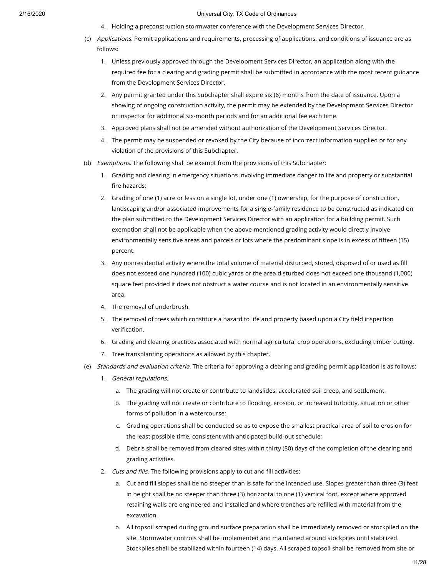- 4. Holding a preconstruction stormwater conference with the Development Services Director.
- (c) *Applications.* Permit applications and requirements, processing of applications, and conditions of issuance are as follows:
	- 1. Unless previously approved through the Development Services Director, an application along with the required fee for a clearing and grading permit shall be submitted in accordance with the most recent guidance from the Development Services Director.
	- 2. Any permit granted under this Subchapter shall expire six (6) months from the date of issuance. Upon a showing of ongoing construction activity, the permit may be extended by the Development Services Director or inspector for additional six-month periods and for an additional fee each time.
	- 3. Approved plans shall not be amended without authorization of the Development Services Director.
	- 4. The permit may be suspended or revoked by the City because of incorrect information supplied or for any violation of the provisions of this Subchapter.
- (d) *Exemptions.* The following shall be exempt from the provisions of this Subchapter:
	- 1. Grading and clearing in emergency situations involving immediate danger to life and property or substantial fire hazards;
	- 2. Grading of one (1) acre or less on a single lot, under one (1) ownership, for the purpose of construction, landscaping and/or associated improvements for a single-family residence to be constructed as indicated on the plan submitted to the Development Services Director with an application for a building permit. Such exemption shall not be applicable when the above-mentioned grading activity would directly involve environmentally sensitive areas and parcels or lots where the predominant slope is in excess of fifteen (15) percent.
	- 3. Any nonresidential activity where the total volume of material disturbed, stored, disposed of or used as fill does not exceed one hundred (100) cubic yards or the area disturbed does not exceed one thousand (1,000) square feet provided it does not obstruct a water course and is not located in an environmentally sensitive area.
	- 4. The removal of underbrush.
	- 5. The removal of trees which constitute a hazard to life and property based upon a City field inspection verification.
	- 6. Grading and clearing practices associated with normal agricultural crop operations, excluding timber cutting.
	- 7. Tree transplanting operations as allowed by this chapter.
- (e) Standards and evaluation criteria. The criteria for approving a clearing and grading permit application is as follows:
	- 1. General regulations.
		- a. The grading will not create or contribute to landslides, accelerated soil creep, and settlement.
		- b. The grading will not create or contribute to flooding, erosion, or increased turbidity, situation or other forms of pollution in a watercourse;
		- c. Grading operations shall be conducted so as to expose the smallest practical area of soil to erosion for the least possible time, consistent with anticipated build-out schedule;
		- d. Debris shall be removed from cleared sites within thirty (30) days of the completion of the clearing and grading activities.
	- 2. Cuts and fills. The following provisions apply to cut and fill activities:
		- a. Cut and fill slopes shall be no steeper than is safe for the intended use. Slopes greater than three (3) feet in height shall be no steeper than three (3) horizontal to one (1) vertical foot, except where approved retaining walls are engineered and installed and where trenches are refilled with material from the excavation.
		- b. All topsoil scraped during ground surface preparation shall be immediately removed or stockpiled on the site. Stormwater controls shall be implemented and maintained around stockpiles until stabilized. Stockpiles shall be stabilized within fourteen (14) days. All scraped topsoil shall be removed from site or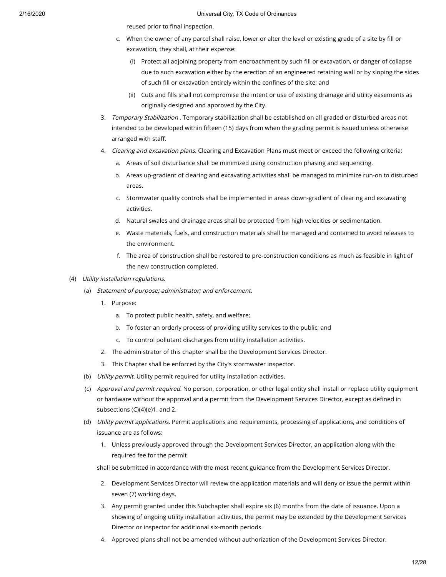reused prior to final inspection.

- c. When the owner of any parcel shall raise, lower or alter the level or existing grade of a site by fill or excavation, they shall, at their expense:
	- (i) Protect all adjoining property from encroachment by such fill or excavation, or danger of collapse due to such excavation either by the erection of an engineered retaining wall or by sloping the sides of such fill or excavation entirely within the confines of the site; and
	- (ii) Cuts and fills shall not compromise the intent or use of existing drainage and utility easements as originally designed and approved by the City.
- 3. *Temporary Stabilization* . Temporary stabilization shall be established on all graded or disturbed areas not intended to be developed within fifteen (15) days from when the grading permit is issued unless otherwise arranged with staff.
- 4. *Clearing and excavation plans.* Clearing and Excavation Plans must meet or exceed the following criteria:
	- a. Areas of soil disturbance shall be minimized using construction phasing and sequencing.
	- b. Areas up-gradient of clearing and excavating activities shall be managed to minimize run-on to disturbed areas.
	- c. Stormwater quality controls shall be implemented in areas down-gradient of clearing and excavating activities.
	- d. Natural swales and drainage areas shall be protected from high velocities or sedimentation.
	- e. Waste materials, fuels, and construction materials shall be managed and contained to avoid releases to the environment.
	- f. The area of construction shall be restored to pre-construction conditions as much as feasible in light of the new construction completed.
- (4) Utility installation regulations.
	- (a) Statement of purpose; administrator; and enforcement.
		- 1. Purpose:
			- a. To protect public health, safety, and welfare;
			- b. To foster an orderly process of providing utility services to the public; and
			- c. To control pollutant discharges from utility installation activities.
		- 2. The administrator of this chapter shall be the Development Services Director.
		- 3. This Chapter shall be enforced by the City's stormwater inspector.
	- (b) *Utility permit.* Utility permit required for utility installation activities.
	- (c) Approval and permit required. No person, corporation, or other legal entity shall install or replace utility equipment or hardware without the approval and a permit from the Development Services Director, except as defined in subsections (C)(4)(e)1. and 2.
	- (d) Utility permit applications. Permit applications and requirements, processing of applications, and conditions of issuance are as follows:
		- 1. Unless previously approved through the Development Services Director, an application along with the required fee for the permit

shall be submitted in accordance with the most recent guidance from the Development Services Director.

- 2. Development Services Director will review the application materials and will deny or issue the permit within seven (7) working days.
- 3. Any permit granted under this Subchapter shall expire six (6) months from the date of issuance. Upon a showing of ongoing utility installation activities, the permit may be extended by the Development Services Director or inspector for additional six-month periods.
- 4. Approved plans shall not be amended without authorization of the Development Services Director.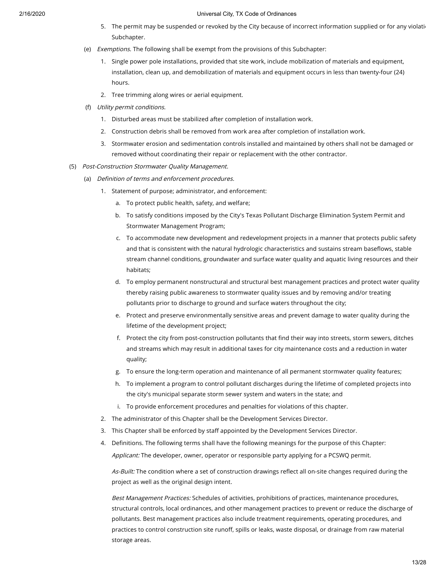- 5. The permit may be suspended or revoked by the City because of incorrect information supplied or for any violati Subchapter.
- (e) *Exemptions.* The following shall be exempt from the provisions of this Subchapter:
	- 1. Single power pole installations, provided that site work, include mobilization of materials and equipment, installation, clean up, and demobilization of materials and equipment occurs in less than twenty-four (24) hours.
	- 2. Tree trimming along wires or aerial equipment.
- (f) Utility permit conditions.
	- 1. Disturbed areas must be stabilized after completion of installation work.
	- 2. Construction debris shall be removed from work area after completion of installation work.
	- 3. Stormwater erosion and sedimentation controls installed and maintained by others shall not be damaged or removed without coordinating their repair or replacement with the other contractor.
- (5) Post-Construction Stormwater Quality Management.
	- (a) Definition of terms and enforcement procedures.
		- 1. Statement of purpose; administrator, and enforcement:
			- a. To protect public health, safety, and welfare;
			- b. To satisfy conditions imposed by the City's Texas Pollutant Discharge Elimination System Permit and Stormwater Management Program;
			- c. To accommodate new development and redevelopment projects in a manner that protects public safety and that is consistent with the natural hydrologic characteristics and sustains stream baseflows, stable stream channel conditions, groundwater and surface water quality and aquatic living resources and their habitats;
			- d. To employ permanent nonstructural and structural best management practices and protect water quality thereby raising public awareness to stormwater quality issues and by removing and/or treating pollutants prior to discharge to ground and surface waters throughout the city;
			- e. Protect and preserve environmentally sensitive areas and prevent damage to water quality during the lifetime of the development project;
			- f. Protect the city from post-construction pollutants that find their way into streets, storm sewers, ditches and streams which may result in additional taxes for city maintenance costs and a reduction in water quality;
			- g. To ensure the long-term operation and maintenance of all permanent stormwater quality features;
			- h. To implement a program to control pollutant discharges during the lifetime of completed projects into the city's municipal separate storm sewer system and waters in the state; and
			- i. To provide enforcement procedures and penalties for violations of this chapter.
		- 2. The administrator of this Chapter shall be the Development Services Director.
		- 3. This Chapter shall be enforced by staff appointed by the Development Services Director.
		- 4. Definitions. The following terms shall have the following meanings for the purpose of this Chapter: Applicant: The developer, owner, operator or responsible party applying for a PCSWQ permit.

As-Built: The condition where a set of construction drawings reflect all on-site changes required during the project as well as the original design intent.

Best Management Practices: Schedules of activities, prohibitions of practices, maintenance procedures, structural controls, local ordinances, and other management practices to prevent or reduce the discharge of pollutants. Best management practices also include treatment requirements, operating procedures, and practices to control construction site runoff, spills or leaks, waste disposal, or drainage from raw material storage areas.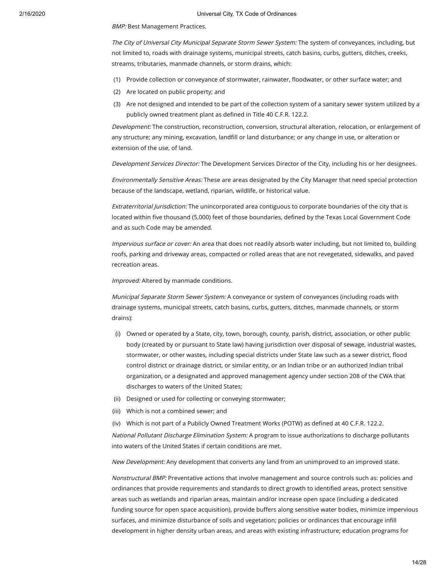BMP: Best Management Practices.

The City of Universal City Municipal Separate Storm Sewer System: The system of conveyances, including, but not limited to, roads with drainage systems, municipal streets, catch basins, curbs, gutters, ditches, creeks, streams, tributaries, manmade channels, or storm drains, which:

- (1) Provide collection or conveyance of stormwater, rainwater, floodwater, or other surface water; and
- (2) Are located on public property; and
- (3) Are not designed and intended to be part of the collection system of a sanitary sewer system utilized by a publicly owned treatment plant as defined in Title 40 C.F.R. 122.2.

Development: The construction, reconstruction, conversion, structural alteration, relocation, or enlargement of any structure; any mining, excavation, landfill or land disturbance; or any change in use, or alteration or extension of the use, of land.

Development Services Director: The Development Services Director of the City, including his or her designees.

Environmentally Sensitive Areas: These are areas designated by the City Manager that need special protection because of the landscape, wetland, riparian, wildlife, or historical value.

Extraterritorial Jurisdiction: The unincorporated area contiguous to corporate boundaries of the city that is located within five thousand (5,000) feet of those boundaries, defined by the Texas Local Government Code and as such Code may be amended.

Impervious surface or cover: An area that does not readily absorb water including, but not limited to, building roofs, parking and driveway areas, compacted or rolled areas that are not revegetated, sidewalks, and paved recreation areas.

Improved: Altered by manmade conditions.

Municipal Separate Storm Sewer System: A conveyance or system of conveyances (including roads with drainage systems, municipal streets, catch basins, curbs, gutters, ditches, manmade channels, or storm drains):

- (i) Owned or operated by a State, city, town, borough, county, parish, district, association, or other public body (created by or pursuant to State law) having jurisdiction over disposal of sewage, industrial wastes, stormwater, or other wastes, including special districts under State law such as a sewer district, flood control district or drainage district, or similar entity, or an Indian tribe or an authorized Indian tribal organization, or a designated and approved management agency under section 208 of the CWA that discharges to waters of the United States;
- (ii) Designed or used for collecting or conveying stormwater;
- (iii) Which is not a combined sewer; and
- (iv) Which is not part of a Publicly Owned Treatment Works (POTW) as defined at 40 C.F.R. 122.2.

National Pollutant Discharge Elimination System: A program to issue authorizations to discharge pollutants into waters of the United States if certain conditions are met.

New Development: Any development that converts any land from an unimproved to an improved state.

Nonstructural BMP: Preventative actions that involve management and source controls such as: policies and ordinances that provide requirements and standards to direct growth to identified areas, protect sensitive areas such as wetlands and riparian areas, maintain and/or increase open space (including a dedicated funding source for open space acquisition), provide buffers along sensitive water bodies, minimize impervious surfaces, and minimize disturbance of soils and vegetation; policies or ordinances that encourage infill development in higher density urban areas, and areas with existing infrastructure; education programs for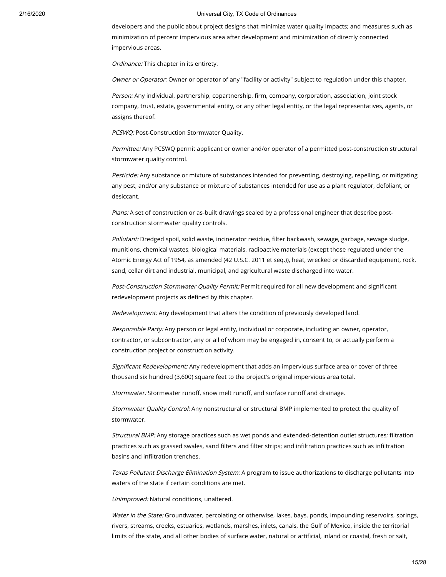developers and the public about project designs that minimize water quality impacts; and measures such as minimization of percent impervious area after development and minimization of directly connected impervious areas.

Ordinance: This chapter in its entirety.

Owner or Operator: Owner or operator of any "facility or activity" subject to regulation under this chapter.

Person: Any individual, partnership, copartnership, firm, company, corporation, association, joint stock company, trust, estate, governmental entity, or any other legal entity, or the legal representatives, agents, or assigns thereof.

PCSWQ: Post-Construction Stormwater Quality.

Permittee: Any PCSWQ permit applicant or owner and/or operator of a permitted post-construction structural stormwater quality control.

Pesticide: Any substance or mixture of substances intended for preventing, destroying, repelling, or mitigating any pest, and/or any substance or mixture of substances intended for use as a plant regulator, defoliant, or desiccant.

Plans: A set of construction or as-built drawings sealed by a professional engineer that describe postconstruction stormwater quality controls.

Pollutant: Dredged spoil, solid waste, incinerator residue, filter backwash, sewage, garbage, sewage sludge, munitions, chemical wastes, biological materials, radioactive materials (except those regulated under the Atomic Energy Act of 1954, as amended (42 U.S.C. 2011 et seq.)), heat, wrecked or discarded equipment, rock, sand, cellar dirt and industrial, municipal, and agricultural waste discharged into water.

Post-Construction Stormwater Quality Permit: Permit required for all new development and significant redevelopment projects as defined by this chapter.

Redevelopment: Any development that alters the condition of previously developed land.

Responsible Party: Any person or legal entity, individual or corporate, including an owner, operator, contractor, or subcontractor, any or all of whom may be engaged in, consent to, or actually perform a construction project or construction activity.

Significant Redevelopment: Any redevelopment that adds an impervious surface area or cover of three thousand six hundred (3,600) square feet to the project's original impervious area total.

Stormwater: Stormwater runoff, snow melt runoff, and surface runoff and drainage.

Stormwater Quality Control: Any nonstructural or structural BMP implemented to protect the quality of stormwater.

Structural BMP: Any storage practices such as wet ponds and extended-detention outlet structures; filtration practices such as grassed swales, sand filters and filter strips; and infiltration practices such as infiltration basins and infiltration trenches.

Texas Pollutant Discharge Elimination System: A program to issue authorizations to discharge pollutants into waters of the state if certain conditions are met.

Unimproved: Natural conditions, unaltered.

Water in the State: Groundwater, percolating or otherwise, lakes, bays, ponds, impounding reservoirs, springs, rivers, streams, creeks, estuaries, wetlands, marshes, inlets, canals, the Gulf of Mexico, inside the territorial limits of the state, and all other bodies of surface water, natural or artificial, inland or coastal, fresh or salt,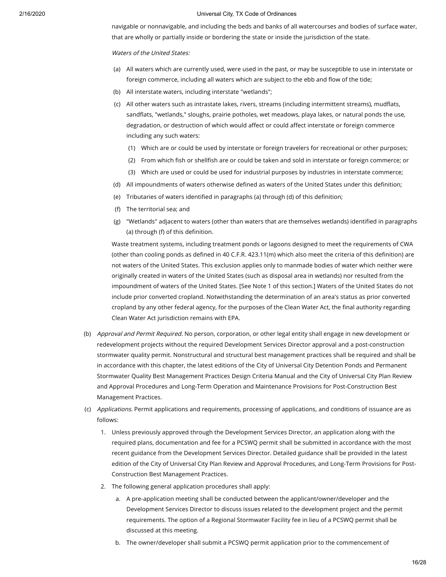navigable or nonnavigable, and including the beds and banks of all watercourses and bodies of surface water, that are wholly or partially inside or bordering the state or inside the jurisdiction of the state.

Waters of the United States:

- (a) All waters which are currently used, were used in the past, or may be susceptible to use in interstate or foreign commerce, including all waters which are subject to the ebb and flow of the tide;
- (b) All interstate waters, including interstate "wetlands";
- (c) All other waters such as intrastate lakes, rivers, streams (including intermittent streams), mudflats, sandflats, "wetlands," sloughs, prairie potholes, wet meadows, playa lakes, or natural ponds the use, degradation, or destruction of which would affect or could affect interstate or foreign commerce including any such waters:
	- (1) Which are or could be used by interstate or foreign travelers for recreational or other purposes;
	- (2) From which fish or shellfish are or could be taken and sold in interstate or foreign commerce; or
	- (3) Which are used or could be used for industrial purposes by industries in interstate commerce;
- (d) All impoundments of waters otherwise defined as waters of the United States under this definition;
- (e) Tributaries of waters identified in paragraphs (a) through (d) of this definition;
- (f) The territorial sea; and
- (g) "Wetlands" adjacent to waters (other than waters that are themselves wetlands) identified in paragraphs (a) through (f) of this definition.

Waste treatment systems, including treatment ponds or lagoons designed to meet the requirements of CWA (other than cooling ponds as defined in 40 C.F.R. 423.11(m) which also meet the criteria of this definition) are not waters of the United States. This exclusion applies only to manmade bodies of water which neither were originally created in waters of the United States (such as disposal area in wetlands) nor resulted from the impoundment of waters of the United States. [See Note 1 of this section.] Waters of the United States do not include prior converted cropland. Notwithstanding the determination of an area's status as prior converted cropland by any other federal agency, for the purposes of the Clean Water Act, the final authority regarding Clean Water Act jurisdiction remains with EPA.

- (b) *Approval and Permit Required.* No person, corporation, or other legal entity shall engage in new development or redevelopment projects without the required Development Services Director approval and a post-construction stormwater quality permit. Nonstructural and structural best management practices shall be required and shall be in accordance with this chapter, the latest editions of the City of Universal City Detention Ponds and Permanent Stormwater Quality Best Management Practices Design Criteria Manual and the City of Universal City Plan Review and Approval Procedures and Long-Term Operation and Maintenance Provisions for Post-Construction Best Management Practices.
- (c) *Applications.* Permit applications and requirements, processing of applications, and conditions of issuance are as follows:
	- 1. Unless previously approved through the Development Services Director, an application along with the required plans, documentation and fee for a PCSWQ permit shall be submitted in accordance with the most recent guidance from the Development Services Director. Detailed guidance shall be provided in the latest edition of the City of Universal City Plan Review and Approval Procedures, and Long-Term Provisions for Post-Construction Best Management Practices.
	- 2. The following general application procedures shall apply:
		- a. A pre-application meeting shall be conducted between the applicant/owner/developer and the Development Services Director to discuss issues related to the development project and the permit requirements. The option of a Regional Stormwater Facility fee in lieu of a PCSWQ permit shall be discussed at this meeting.
		- b. The owner/developer shall submit a PCSWQ permit application prior to the commencement of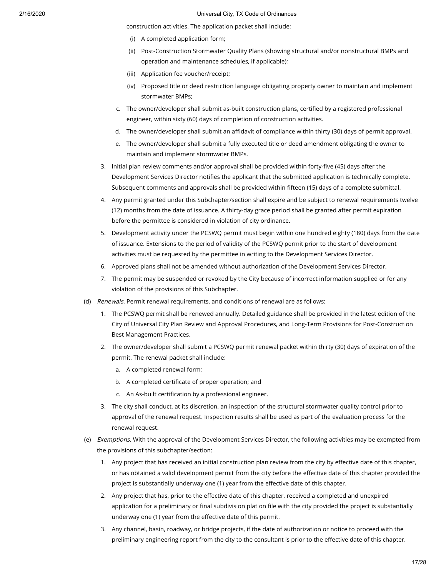construction activities. The application packet shall include:

- (i) A completed application form;
- (ii) Post-Construction Stormwater Quality Plans (showing structural and/or nonstructural BMPs and operation and maintenance schedules, if applicable);
- (iii) Application fee voucher/receipt;
- (iv) Proposed title or deed restriction language obligating property owner to maintain and implement stormwater BMPs;
- c. The owner/developer shall submit as-built construction plans, certified by a registered professional engineer, within sixty (60) days of completion of construction activities.
- d. The owner/developer shall submit an affidavit of compliance within thirty (30) days of permit approval.
- e. The owner/developer shall submit a fully executed title or deed amendment obligating the owner to maintain and implement stormwater BMPs.
- 3. Initial plan review comments and/or approval shall be provided within forty-five (45) days after the Development Services Director notifies the applicant that the submitted application is technically complete. Subsequent comments and approvals shall be provided within fifteen (15) days of a complete submittal.
- 4. Any permit granted under this Subchapter/section shall expire and be subject to renewal requirements twelve (12) months from the date of issuance. A thirty-day grace period shall be granted after permit expiration before the permittee is considered in violation of city ordinance.
- 5. Development activity under the PCSWQ permit must begin within one hundred eighty (180) days from the date of issuance. Extensions to the period of validity of the PCSWQ permit prior to the start of development activities must be requested by the permittee in writing to the Development Services Director.
- 6. Approved plans shall not be amended without authorization of the Development Services Director.
- 7. The permit may be suspended or revoked by the City because of incorrect information supplied or for any violation of the provisions of this Subchapter.
- (d) Renewals. Permit renewal requirements, and conditions of renewal are as follows:
	- 1. The PCSWQ permit shall be renewed annually. Detailed guidance shall be provided in the latest edition of the City of Universal City Plan Review and Approval Procedures, and Long-Term Provisions for Post-Construction Best Management Practices.
	- 2. The owner/developer shall submit a PCSWQ permit renewal packet within thirty (30) days of expiration of the permit. The renewal packet shall include:
		- a. A completed renewal form;
		- b. A completed certificate of proper operation; and
		- c. An As-built certification by a professional engineer.
	- 3. The city shall conduct, at its discretion, an inspection of the structural stormwater quality control prior to approval of the renewal request. Inspection results shall be used as part of the evaluation process for the renewal request.
- (e) *Exemptions.* With the approval of the Development Services Director, the following activities may be exempted from the provisions of this subchapter/section:
	- 1. Any project that has received an initial construction plan review from the city by effective date of this chapter, or has obtained a valid development permit from the city before the effective date of this chapter provided the project is substantially underway one (1) year from the effective date of this chapter.
	- 2. Any project that has, prior to the effective date of this chapter, received a completed and unexpired application for a preliminary or final subdivision plat on file with the city provided the project is substantially underway one (1) year from the effective date of this permit.
	- 3. Any channel, basin, roadway, or bridge projects, if the date of authorization or notice to proceed with the preliminary engineering report from the city to the consultant is prior to the effective date of this chapter.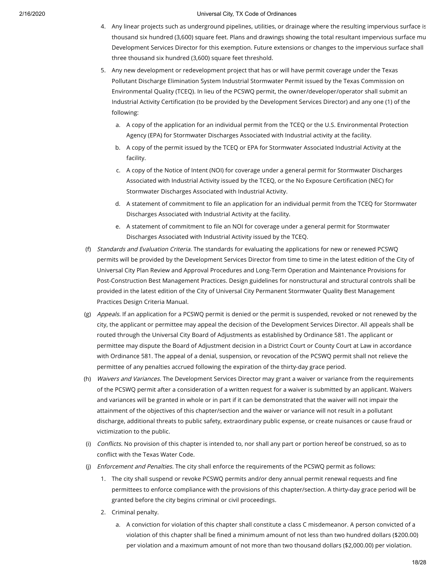- 4. Any linear projects such as underground pipelines, utilities, or drainage where the resulting impervious surface is thousand six hundred (3,600) square feet. Plans and drawings showing the total resultant impervious surface mu Development Services Director for this exemption. Future extensions or changes to the impervious surface shall three thousand six hundred (3,600) square feet threshold.
- 5. Any new development or redevelopment project that has or will have permit coverage under the Texas Pollutant Discharge Elimination System Industrial Stormwater Permit issued by the Texas Commission on Environmental Quality (TCEQ). In lieu of the PCSWQ permit, the owner/developer/operator shall submit an Industrial Activity Certification (to be provided by the Development Services Director) and any one (1) of the following:
	- a. A copy of the application for an individual permit from the TCEQ or the U.S. Environmental Protection Agency (EPA) for Stormwater Discharges Associated with Industrial activity at the facility.
	- b. A copy of the permit issued by the TCEQ or EPA for Stormwater Associated Industrial Activity at the facility.
	- c. A copy of the Notice of Intent (NOI) for coverage under a general permit for Stormwater Discharges Associated with Industrial Activity issued by the TCEQ, or the No Exposure Certification (NEC) for Stormwater Discharges Associated with Industrial Activity.
	- d. A statement of commitment to file an application for an individual permit from the TCEQ for Stormwater Discharges Associated with Industrial Activity at the facility.
	- e. A statement of commitment to file an NOI for coverage under a general permit for Stormwater Discharges Associated with Industrial Activity issued by the TCEQ.
- (f) Standards and Evaluation Criteria. The standards for evaluating the applications for new or renewed PCSWQ permits will be provided by the Development Services Director from time to time in the latest edition of the City of Universal City Plan Review and Approval Procedures and Long-Term Operation and Maintenance Provisions for Post-Construction Best Management Practices. Design guidelines for nonstructural and structural controls shall be provided in the latest edition of the City of Universal City Permanent Stormwater Quality Best Management Practices Design Criteria Manual.
- (g) *Appeals.* If an application for a PCSWQ permit is denied or the permit is suspended, revoked or not renewed by the city, the applicant or permittee may appeal the decision of the Development Services Director. All appeals shall be routed through the Universal City Board of Adjustments as established by Ordinance 581. The applicant or permittee may dispute the Board of Adjustment decision in a District Court or County Court at Law in accordance with Ordinance 581. The appeal of a denial, suspension, or revocation of the PCSWQ permit shall not relieve the permittee of any penalties accrued following the expiration of the thirty-day grace period.
- (h) *Waivers and Variances.* The Development Services Director may grant a waiver or variance from the requirements of the PCSWQ permit after a consideration of a written request for a waiver is submitted by an applicant. Waivers and variances will be granted in whole or in part if it can be demonstrated that the waiver will not impair the attainment of the objectives of this chapter/section and the waiver or variance will not result in a pollutant discharge, additional threats to public safety, extraordinary public expense, or create nuisances or cause fraud or victimization to the public.
- (i) Conflicts. No provision of this chapter is intended to, nor shall any part or portion hereof be construed, so as to conflict with the Texas Water Code.
- (j) *Enforcement and Penalties.* The city shall enforce the requirements of the PCSWQ permit as follows:
	- 1. The city shall suspend or revoke PCSWQ permits and/or deny annual permit renewal requests and fine permittees to enforce compliance with the provisions of this chapter/section. A thirty-day grace period will be granted before the city begins criminal or civil proceedings.
	- 2. Criminal penalty.
		- a. A conviction for violation of this chapter shall constitute a class C misdemeanor. A person convicted of a violation of this chapter shall be fined a minimum amount of not less than two hundred dollars (\$200.00) per violation and a maximum amount of not more than two thousand dollars (\$2,000.00) per violation.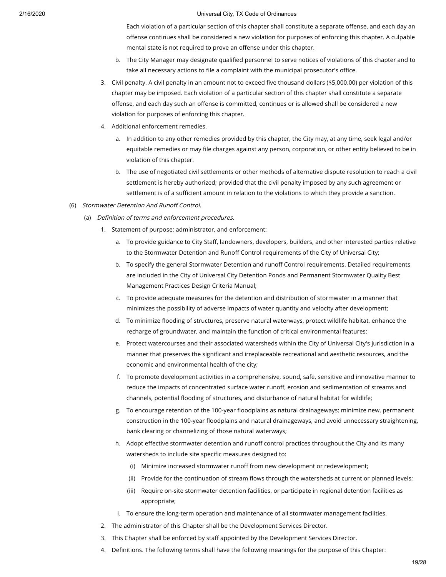Each violation of a particular section of this chapter shall constitute a separate offense, and each day an offense continues shall be considered a new violation for purposes of enforcing this chapter. A culpable mental state is not required to prove an offense under this chapter.

- b. The City Manager may designate qualified personnel to serve notices of violations of this chapter and to take all necessary actions to file a complaint with the municipal prosecutor's office.
- 3. Civil penalty. A civil penalty in an amount not to exceed five thousand dollars (\$5,000.00) per violation of this chapter may be imposed. Each violation of a particular section of this chapter shall constitute a separate offense, and each day such an offense is committed, continues or is allowed shall be considered a new violation for purposes of enforcing this chapter.
- 4. Additional enforcement remedies.
	- a. In addition to any other remedies provided by this chapter, the City may, at any time, seek legal and/or equitable remedies or may file charges against any person, corporation, or other entity believed to be in violation of this chapter.
	- b. The use of negotiated civil settlements or other methods of alternative dispute resolution to reach a civil settlement is hereby authorized; provided that the civil penalty imposed by any such agreement or settlement is of a sufficient amount in relation to the violations to which they provide a sanction.
- (6) Stormwater Detention And Runoff Control.
	- (a) Definition of terms and enforcement procedures.
		- 1. Statement of purpose; administrator, and enforcement:
			- a. To provide guidance to City Staff, landowners, developers, builders, and other interested parties relative to the Stormwater Detention and Runoff Control requirements of the City of Universal City;
			- b. To specify the general Stormwater Detention and runoff Control requirements. Detailed requirements are included in the City of Universal City Detention Ponds and Permanent Stormwater Quality Best Management Practices Design Criteria Manual;
			- c. To provide adequate measures for the detention and distribution of stormwater in a manner that minimizes the possibility of adverse impacts of water quantity and velocity after development;
			- d. To minimize flooding of structures, preserve natural waterways, protect wildlife habitat, enhance the recharge of groundwater, and maintain the function of critical environmental features;
			- e. Protect watercourses and their associated watersheds within the City of Universal City's jurisdiction in a manner that preserves the significant and irreplaceable recreational and aesthetic resources, and the economic and environmental health of the city;
			- f. To promote development activities in a comprehensive, sound, safe, sensitive and innovative manner to reduce the impacts of concentrated surface water runoff, erosion and sedimentation of streams and channels, potential flooding of structures, and disturbance of natural habitat for wildlife;
			- g. To encourage retention of the 100-year floodplains as natural drainageways; minimize new, permanent construction in the 100-year floodplains and natural drainageways, and avoid unnecessary straightening, bank clearing or channelizing of those natural waterways;
			- h. Adopt effective stormwater detention and runoff control practices throughout the City and its many watersheds to include site specific measures designed to:
				- (i) Minimize increased stormwater runoff from new development or redevelopment;
				- (ii) Provide for the continuation of stream flows through the watersheds at current or planned levels;
				- (iii) Require on-site stormwater detention facilities, or participate in regional detention facilities as appropriate;
			- i. To ensure the long-term operation and maintenance of all stormwater management facilities.
		- 2. The administrator of this Chapter shall be the Development Services Director.
		- 3. This Chapter shall be enforced by staff appointed by the Development Services Director.
		- 4. Definitions. The following terms shall have the following meanings for the purpose of this Chapter: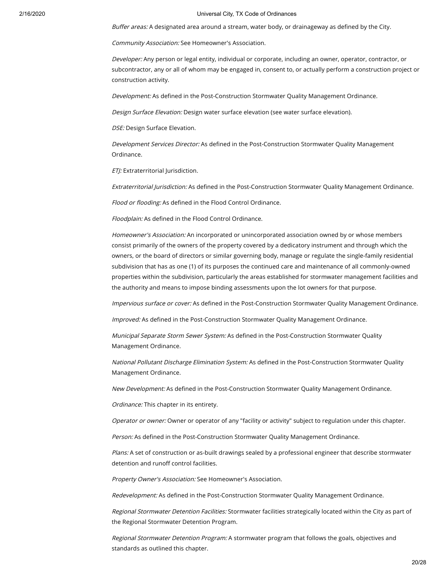Buffer areas: A designated area around a stream, water body, or drainageway as defined by the City.

Community Association: See Homeowner's Association.

Developer: Any person or legal entity, individual or corporate, including an owner, operator, contractor, or subcontractor, any or all of whom may be engaged in, consent to, or actually perform a construction project or construction activity.

Development: As defined in the Post-Construction Stormwater Quality Management Ordinance.

Design Surface Elevation: Design water surface elevation (see water surface elevation).

DSE: Design Surface Elevation.

Development Services Director: As defined in the Post-Construction Stormwater Quality Management Ordinance.

ETJ: Extraterritorial Jurisdiction.

Extraterritorial Jurisdiction: As defined in the Post-Construction Stormwater Quality Management Ordinance.

Flood or flooding: As defined in the Flood Control Ordinance.

Floodplain: As defined in the Flood Control Ordinance.

Homeowner's Association: An incorporated or unincorporated association owned by or whose members consist primarily of the owners of the property covered by a dedicatory instrument and through which the owners, or the board of directors or similar governing body, manage or regulate the single-family residential subdivision that has as one (1) of its purposes the continued care and maintenance of all commonly-owned properties within the subdivision, particularly the areas established for stormwater management facilities and the authority and means to impose binding assessments upon the lot owners for that purpose.

Impervious surface or cover: As defined in the Post-Construction Stormwater Quality Management Ordinance.

Improved: As defined in the Post-Construction Stormwater Quality Management Ordinance.

Municipal Separate Storm Sewer System: As defined in the Post-Construction Stormwater Quality Management Ordinance.

National Pollutant Discharge Elimination System: As defined in the Post-Construction Stormwater Quality Management Ordinance.

New Development: As defined in the Post-Construction Stormwater Quality Management Ordinance.

Ordinance: This chapter in its entirety.

Operator or owner: Owner or operator of any "facility or activity" subject to regulation under this chapter.

Person: As defined in the Post-Construction Stormwater Quality Management Ordinance.

Plans: A set of construction or as-built drawings sealed by a professional engineer that describe stormwater detention and runoff control facilities.

Property Owner's Association: See Homeowner's Association.

Redevelopment: As defined in the Post-Construction Stormwater Quality Management Ordinance.

Regional Stormwater Detention Facilities: Stormwater facilities strategically located within the City as part of the Regional Stormwater Detention Program.

Regional Stormwater Detention Program: A stormwater program that follows the goals, objectives and standards as outlined this chapter.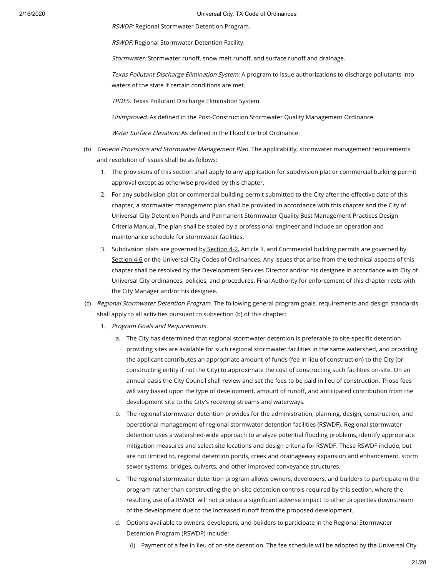RSWDP: Regional Stormwater Detention Program.

RSWDF: Regional Stormwater Detention Facility.

Stormwater: Stormwater runoff, snow melt runoff, and surface runoff and drainage.

Texas Pollutant Discharge Elimination System: A program to issue authorizations to discharge pollutants into waters of the state if certain conditions are met.

TPDES: Texas Pollutant Discharge Elimination System.

Unimproved: As defined in the Post-Construction Stormwater Quality Management Ordinance.

Water Surface Elevation: As defined in the Flood Control Ordinance.

- (b) *General Provisions and Stormwater Management Plan.* The applicability, stormwater management requirements and resolution of issues shall be as follows:
	- 1. The provisions of this section shall apply to any application for subdivision plat or commercial building permit approval except as otherwise provided by this chapter.
	- 2. For any subdivision plat or commercial building permit submitted to the City after the effective date of this chapter, a stormwater management plan shall be provided in accordance with this chapter and the City of Universal City Detention Ponds and Permanent Stormwater Quality Best Management Practices Design Criteria Manual. The plan shall be sealed by a professional engineer and include an operation and maintenance schedule for stormwater facilities.
	- 3. Subdivision plats are governed b<u>y [Section](https://library.municode.com/) 4-2</u>, Article II, and Commercial building permits are governed by [Section](https://library.municode.com/) 4-6 or the Universal City Codes of Ordinances. Any issues that arise from the technical aspects of this chapter shall be resolved by the Development Services Director and/or his designee in accordance with City of Universal City ordinances, policies, and procedures. Final Authority for enforcement of this chapter rests with the City Manager and/or his designee.
- (c) *Regional Stormwater Detention Program.* The following general program goals, requirements and design standards shall apply to all activities pursuant to subsection (b) of this chapter:
	- 1. Program Goals and Requirements.
		- a. The City has determined that regional stormwater detention is preferable to site-specific detention providing sites are available for such regional stormwater facilities in the same watershed, and providing the applicant contributes an appropriate amount of funds (fee in lieu of construction) to the City (or constructing entity if not the City) to approximate the cost of constructing such facilities on-site. On an annual basis the City Council shall review and set the fees to be paid in lieu of construction. Those fees will vary based upon the type of development, amount of runoff, and anticipated contribution from the development site to the City's receiving streams and waterways.
		- b. The regional stormwater detention provides for the administration, planning, design, construction, and operational management of regional stormwater detention facilities (RSWDF). Regional stormwater detention uses a watershed-wide approach to analyze potential flooding problems, identify appropriate mitigation measures and select site locations and design criteria for RSWDF. These RSWDF include, but are not limited to, regional detention ponds, creek and drainageway expansion and enhancement, storm sewer systems, bridges, culverts, and other improved conveyance structures.
		- c. The regional stormwater detention program allows owners, developers, and builders to participate in the program rather than constructing the on-site detention controls required by this section, where the resulting use of a RSWDF will not produce a significant adverse impact to other properties downstream of the development due to the increased runoff from the proposed development.
		- d. Options available to owners, developers, and builders to participate in the Regional Stormwater Detention Program (RSWDP) include:
			- (i) Payment of a fee in lieu of on-site detention. The fee schedule will be adopted by the Universal City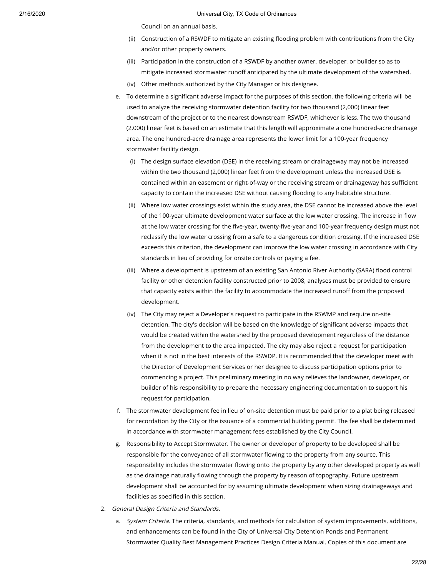Council on an annual basis.

- (ii) Construction of a RSWDF to mitigate an existing flooding problem with contributions from the City and/or other property owners.
- (iii) Participation in the construction of a RSWDF by another owner, developer, or builder so as to mitigate increased stormwater runoff anticipated by the ultimate development of the watershed.
- (iv) Other methods authorized by the City Manager or his designee.
- e. To determine a significant adverse impact for the purposes of this section, the following criteria will be used to analyze the receiving stormwater detention facility for two thousand (2,000) linear feet downstream of the project or to the nearest downstream RSWDF, whichever is less. The two thousand (2,000) linear feet is based on an estimate that this length will approximate a one hundred-acre drainage area. The one hundred-acre drainage area represents the lower limit for a 100-year frequency stormwater facility design.
	- (i) The design surface elevation (DSE) in the receiving stream or drainageway may not be increased within the two thousand (2,000) linear feet from the development unless the increased DSE is contained within an easement or right-of-way or the receiving stream or drainageway has sufficient capacity to contain the increased DSE without causing flooding to any habitable structure.
	- (ii) Where low water crossings exist within the study area, the DSE cannot be increased above the level of the 100-year ultimate development water surface at the low water crossing. The increase in flow at the low water crossing for the five-year, twenty-five-year and 100-year frequency design must not reclassify the low water crossing from a safe to a dangerous condition crossing. If the increased DSE exceeds this criterion, the development can improve the low water crossing in accordance with City standards in lieu of providing for onsite controls or paying a fee.
	- (iii) Where a development is upstream of an existing San Antonio River Authority (SARA) flood control facility or other detention facility constructed prior to 2008, analyses must be provided to ensure that capacity exists within the facility to accommodate the increased runoff from the proposed development.
	- (iv) The City may reject a Developer's request to participate in the RSWMP and require on-site detention. The city's decision will be based on the knowledge of significant adverse impacts that would be created within the watershed by the proposed development regardless of the distance from the development to the area impacted. The city may also reject a request for participation when it is not in the best interests of the RSWDP. It is recommended that the developer meet with the Director of Development Services or her designee to discuss participation options prior to commencing a project. This preliminary meeting in no way relieves the landowner, developer, or builder of his responsibility to prepare the necessary engineering documentation to support his request for participation.
- f. The stormwater development fee in lieu of on-site detention must be paid prior to a plat being released for recordation by the City or the issuance of a commercial building permit. The fee shall be determined in accordance with stormwater management fees established by the City Council.
- g. Responsibility to Accept Stormwater. The owner or developer of property to be developed shall be responsible for the conveyance of all stormwater flowing to the property from any source. This responsibility includes the stormwater flowing onto the property by any other developed property as well as the drainage naturally flowing through the property by reason of topography. Future upstream development shall be accounted for by assuming ultimate development when sizing drainageways and facilities as specified in this section.
- 2. General Design Criteria and Standards.
	- a. *System Criteria.* The criteria, standards, and methods for calculation of system improvements, additions, and enhancements can be found in the City of Universal City Detention Ponds and Permanent Stormwater Quality Best Management Practices Design Criteria Manual. Copies of this document are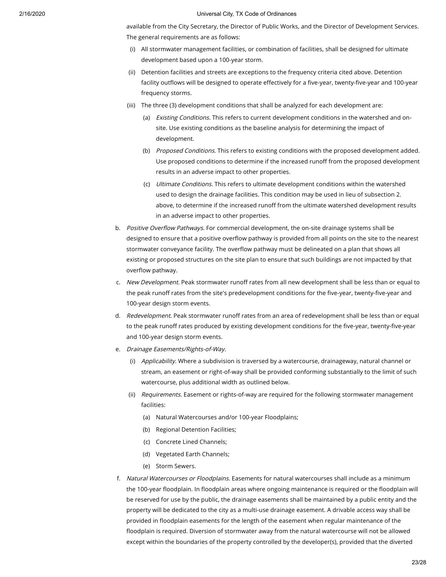available from the City Secretary, the Director of Public Works, and the Director of Development Services. The general requirements are as follows:

- (i) All stormwater management facilities, or combination of facilities, shall be designed for ultimate development based upon a 100-year storm.
- (ii) Detention facilities and streets are exceptions to the frequency criteria cited above. Detention facility outflows will be designed to operate effectively for a five-year, twenty-five-year and 100-year frequency storms.
- (iii) The three (3) development conditions that shall be analyzed for each development are:
	- (a) *Existing Conditions.* This refers to current development conditions in the watershed and onsite. Use existing conditions as the baseline analysis for determining the impact of development.
	- (b) *Proposed Conditions.* This refers to existing conditions with the proposed development added. Use proposed conditions to determine if the increased runoff from the proposed development results in an adverse impact to other properties.
	- (c) *Ultimate Conditions.* This refers to ultimate development conditions within the watershed used to design the drainage facilities. This condition may be used in lieu of subsection 2. above, to determine if the increased runoff from the ultimate watershed development results in an adverse impact to other properties.
- b. Positive Overflow Pathways. For commercial development, the on-site drainage systems shall be designed to ensure that a positive overflow pathway is provided from all points on the site to the nearest stormwater conveyance facility. The overflow pathway must be delineated on a plan that shows all existing or proposed structures on the site plan to ensure that such buildings are not impacted by that overflow pathway.
- c. New Development. Peak stormwater runoff rates from all new development shall be less than or equal to the peak runoff rates from the site's predevelopment conditions for the five-year, twenty-five-year and 100-year design storm events.
- d. Redevelopment. Peak stormwater runoff rates from an area of redevelopment shall be less than or equal to the peak runoff rates produced by existing development conditions for the five-year, twenty-five-year and 100-year design storm events.
- e. Drainage Easements/Rights-of-Way.
	- (i) *Applicability.* Where a subdivision is traversed by a watercourse, drainageway, natural channel or stream, an easement or right-of-way shall be provided conforming substantially to the limit of such watercourse, plus additional width as outlined below.
	- (ii) *Requirements.* Easement or rights-of-way are required for the following stormwater management facilities:
		- (a) Natural Watercourses and/or 100-year Floodplains;
		- (b) Regional Detention Facilities;
		- (c) Concrete Lined Channels;
		- (d) Vegetated Earth Channels;
		- (e) Storm Sewers.
- f. Natural Watercourses or Floodplains. Easements for natural watercourses shall include as a minimum the 100-year floodplain. In floodplain areas where ongoing maintenance is required or the floodplain will be reserved for use by the public, the drainage easements shall be maintained by a public entity and the property will be dedicated to the city as a multi-use drainage easement. A drivable access way shall be provided in floodplain easements for the length of the easement when regular maintenance of the floodplain is required. Diversion of stormwater away from the natural watercourse will not be allowed except within the boundaries of the property controlled by the developer(s), provided that the diverted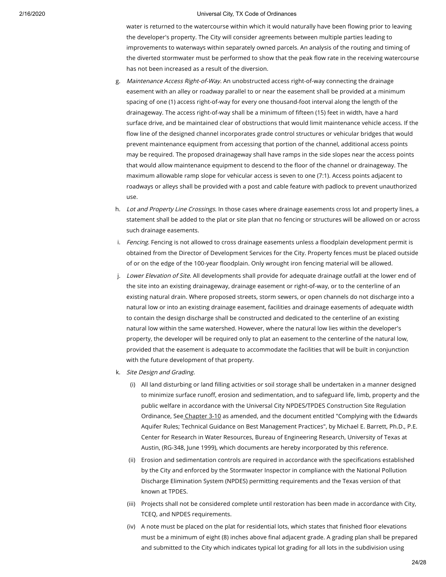water is returned to the watercourse within which it would naturally have been flowing prior to leaving the developer's property. The City will consider agreements between multiple parties leading to improvements to waterways within separately owned parcels. An analysis of the routing and timing of the diverted stormwater must be performed to show that the peak flow rate in the receiving watercourse has not been increased as a result of the diversion.

- g. *Maintenance Access Right-of-Way.* An unobstructed access right-of-way connecting the drainage easement with an alley or roadway parallel to or near the easement shall be provided at a minimum spacing of one (1) access right-of-way for every one thousand-foot interval along the length of the drainageway. The access right-of-way shall be a minimum of fifteen (15) feet in width, have a hard surface drive, and be maintained clear of obstructions that would limit maintenance vehicle access. If the flow line of the designed channel incorporates grade control structures or vehicular bridges that would prevent maintenance equipment from accessing that portion of the channel, additional access points may be required. The proposed drainageway shall have ramps in the side slopes near the access points that would allow maintenance equipment to descend to the floor of the channel or drainageway. The maximum allowable ramp slope for vehicular access is seven to one (7:1). Access points adjacent to roadways or alleys shall be provided with a post and cable feature with padlock to prevent unauthorized use.
- h. *Lot and Property Line Crossings.* In those cases where drainage easements cross lot and property lines, a statement shall be added to the plat or site plan that no fencing or structures will be allowed on or across such drainage easements.
- i. *Fencing.* Fencing is not allowed to cross drainage easements unless a floodplain development permit is obtained from the Director of Development Services for the City. Property fences must be placed outside of or on the edge of the 100-year floodplain. Only wrought iron fencing material will be allowed.
- j. *Lower Elevation of Site.* All developments shall provide for adequate drainage outfall at the lower end of the site into an existing drainageway, drainage easement or right-of-way, or to the centerline of an existing natural drain. Where proposed streets, storm sewers, or open channels do not discharge into a natural low or into an existing drainage easement, facilities and drainage easements of adequate width to contain the design discharge shall be constructed and dedicated to the centerline of an existing natural low within the same watershed. However, where the natural low lies within the developer's property, the developer will be required only to plat an easement to the centerline of the natural low, provided that the easement is adequate to accommodate the facilities that will be built in conjunction with the future development of that property.
- k. Site Design and Grading.
	- (i) All land disturbing or land filling activities or soil storage shall be undertaken in a manner designed to minimize surface runoff, erosion and sedimentation, and to safeguard life, limb, property and the public welfare in accordance with the Universal City NPDES/TPDES Construction Site Regulation Ordinance, See [Chapter](https://library.municode.com/) 3-10 as amended, and the document entitled "Complying with the Edwards Aquifer Rules; Technical Guidance on Best Management Practices", by Michael E. Barrett, Ph.D., P.E. Center for Research in Water Resources, Bureau of Engineering Research, University of Texas at Austin, (RG-348, June 1999), which documents are hereby incorporated by this reference.
	- (ii) Erosion and sedimentation controls are required in accordance with the specifications established by the City and enforced by the Stormwater Inspector in compliance with the National Pollution Discharge Elimination System (NPDES) permitting requirements and the Texas version of that known at TPDES.
	- (iii) Projects shall not be considered complete until restoration has been made in accordance with City, TCEQ, and NPDES requirements.
	- (iv) A note must be placed on the plat for residential lots, which states that finished floor elevations must be a minimum of eight (8) inches above final adjacent grade. A grading plan shall be prepared and submitted to the City which indicates typical lot grading for all lots in the subdivision using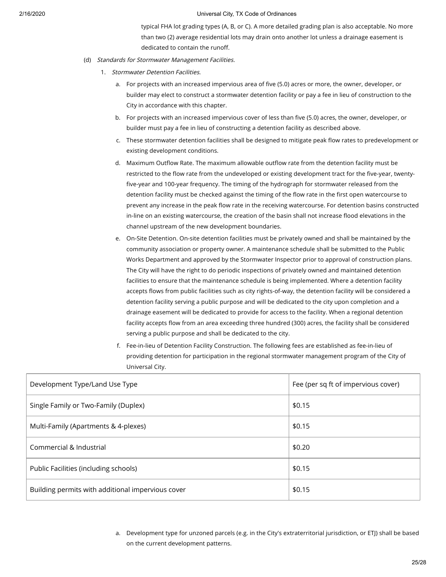typical FHA lot grading types (A, B, or C). A more detailed grading plan is also acceptable. No more than two (2) average residential lots may drain onto another lot unless a drainage easement is dedicated to contain the runoff.

- (d) Standards for Stormwater Management Facilities.
	- 1. Stormwater Detention Facilities.
		- a. For projects with an increased impervious area of five (5.0) acres or more, the owner, developer, or builder may elect to construct a stormwater detention facility or pay a fee in lieu of construction to the City in accordance with this chapter.
		- b. For projects with an increased impervious cover of less than five (5.0) acres, the owner, developer, or builder must pay a fee in lieu of constructing a detention facility as described above.
		- c. These stormwater detention facilities shall be designed to mitigate peak flow rates to predevelopment or existing development conditions.
		- d. Maximum Outflow Rate. The maximum allowable outflow rate from the detention facility must be restricted to the flow rate from the undeveloped or existing development tract for the five-year, twentyfive-year and 100-year frequency. The timing of the hydrograph for stormwater released from the detention facility must be checked against the timing of the flow rate in the first open watercourse to prevent any increase in the peak flow rate in the receiving watercourse. For detention basins constructed in-line on an existing watercourse, the creation of the basin shall not increase flood elevations in the channel upstream of the new development boundaries.
		- e. On-Site Detention. On-site detention facilities must be privately owned and shall be maintained by the community association or property owner. A maintenance schedule shall be submitted to the Public Works Department and approved by the Stormwater Inspector prior to approval of construction plans. The City will have the right to do periodic inspections of privately owned and maintained detention facilities to ensure that the maintenance schedule is being implemented. Where a detention facility accepts flows from public facilities such as city rights-of-way, the detention facility will be considered a detention facility serving a public purpose and will be dedicated to the city upon completion and a drainage easement will be dedicated to provide for access to the facility. When a regional detention facility accepts flow from an area exceeding three hundred (300) acres, the facility shall be considered serving a public purpose and shall be dedicated to the city.
		- f. Fee-in-lieu of Detention Facility Construction. The following fees are established as fee-in-lieu of providing detention for participation in the regional stormwater management program of the City of Universal City.

| Development Type/Land Use Type                    | Fee (per sq ft of impervious cover) |
|---------------------------------------------------|-------------------------------------|
| Single Family or Two-Family (Duplex)              | \$0.15                              |
| Multi-Family (Apartments & 4-plexes)              | \$0.15                              |
| Commercial & Industrial                           | \$0.20                              |
| Public Facilities (including schools)             | \$0.15                              |
| Building permits with additional impervious cover | \$0.15                              |

a. Development type for unzoned parcels (e.g. in the City's extraterritorial jurisdiction, or ETJ) shall be based on the current development patterns.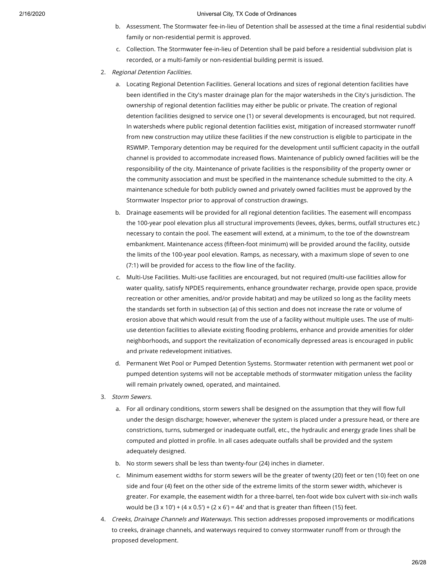- b. Assessment. The Stormwater fee-in-lieu of Detention shall be assessed at the time a final residential subdivi family or non-residential permit is approved.
- c. Collection. The Stormwater fee-in-lieu of Detention shall be paid before a residential subdivision plat is recorded, or a multi-family or non-residential building permit is issued.
- 2. Regional Detention Facilities.
	- a. Locating Regional Detention Facilities. General locations and sizes of regional detention facilities have been identified in the City's master drainage plan for the major watersheds in the City's jurisdiction. The ownership of regional detention facilities may either be public or private. The creation of regional detention facilities designed to service one (1) or several developments is encouraged, but not required. In watersheds where public regional detention facilities exist, mitigation of increased stormwater runoff from new construction may utilize these facilities if the new construction is eligible to participate in the RSWMP. Temporary detention may be required for the development until sufficient capacity in the outfall channel is provided to accommodate increased flows. Maintenance of publicly owned facilities will be the responsibility of the city. Maintenance of private facilities is the responsibility of the property owner or the community association and must be specified in the maintenance schedule submitted to the city. A maintenance schedule for both publicly owned and privately owned facilities must be approved by the Stormwater Inspector prior to approval of construction drawings.
	- b. Drainage easements will be provided for all regional detention facilities. The easement will encompass the 100-year pool elevation plus all structural improvements (levees, dykes, berms, outfall structures etc.) necessary to contain the pool. The easement will extend, at a minimum, to the toe of the downstream embankment. Maintenance access (fifteen-foot minimum) will be provided around the facility, outside the limits of the 100-year pool elevation. Ramps, as necessary, with a maximum slope of seven to one (7:1) will be provided for access to the flow line of the facility.
	- c. Multi-Use Facilities. Multi-use facilities are encouraged, but not required (multi-use facilities allow for water quality, satisfy NPDES requirements, enhance groundwater recharge, provide open space, provide recreation or other amenities, and/or provide habitat) and may be utilized so long as the facility meets the standards set forth in subsection (a) of this section and does not increase the rate or volume of erosion above that which would result from the use of a facility without multiple uses. The use of multiuse detention facilities to alleviate existing flooding problems, enhance and provide amenities for older neighborhoods, and support the revitalization of economically depressed areas is encouraged in public and private redevelopment initiatives.
	- d. Permanent Wet Pool or Pumped Detention Systems. Stormwater retention with permanent wet pool or pumped detention systems will not be acceptable methods of stormwater mitigation unless the facility will remain privately owned, operated, and maintained.
- 3. Storm Sewers.
	- a. For all ordinary conditions, storm sewers shall be designed on the assumption that they will flow full under the design discharge; however, whenever the system is placed under a pressure head, or there are constrictions, turns, submerged or inadequate outfall, etc., the hydraulic and energy grade lines shall be computed and plotted in profile. In all cases adequate outfalls shall be provided and the system adequately designed.
	- b. No storm sewers shall be less than twenty-four (24) inches in diameter.
	- c. Minimum easement widths for storm sewers will be the greater of twenty (20) feet or ten (10) feet on one side and four (4) feet on the other side of the extreme limits of the storm sewer width, whichever is greater. For example, the easement width for a three-barrel, ten-foot wide box culvert with six-inch walls would be  $(3 \times 10') + (4 \times 0.5') + (2 \times 6') = 44'$  and that is greater than fifteen (15) feet.
- 4. *Creeks, Drainage Channels and Waterways.* This section addresses proposed improvements or modifications to creeks, drainage channels, and waterways required to convey stormwater runoff from or through the proposed development.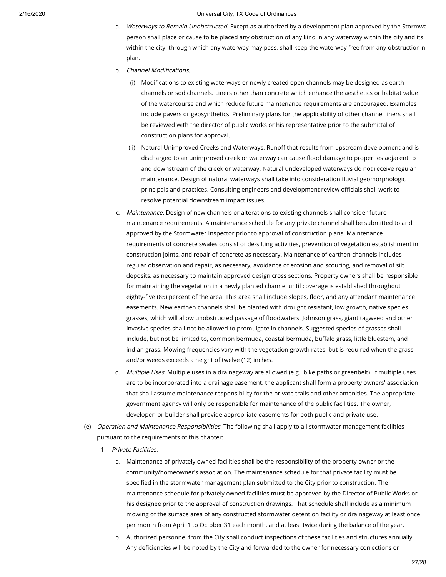- a. *Waterways to Remain Unobstructed.* Except as authorized by a development plan approved by the Stormwa person shall place or cause to be placed any obstruction of any kind in any waterway within the city and its within the city, through which any waterway may pass, shall keep the waterway free from any obstruction n plan.
- b. Channel Modifications.
	- (i) Modifications to existing waterways or newly created open channels may be designed as earth channels or sod channels. Liners other than concrete which enhance the aesthetics or habitat value of the watercourse and which reduce future maintenance requirements are encouraged. Examples include pavers or geosynthetics. Preliminary plans for the applicability of other channel liners shall be reviewed with the director of public works or his representative prior to the submittal of construction plans for approval.
	- (ii) Natural Unimproved Creeks and Waterways. Runoff that results from upstream development and is discharged to an unimproved creek or waterway can cause flood damage to properties adjacent to and downstream of the creek or waterway. Natural undeveloped waterways do not receive regular maintenance. Design of natural waterways shall take into consideration fluvial geomorphologic principals and practices. Consulting engineers and development review officials shall work to resolve potential downstream impact issues.
- c. *Maintenance.* Design of new channels or alterations to existing channels shall consider future maintenance requirements. A maintenance schedule for any private channel shall be submitted to and approved by the Stormwater Inspector prior to approval of construction plans. Maintenance requirements of concrete swales consist of de-silting activities, prevention of vegetation establishment in construction joints, and repair of concrete as necessary. Maintenance of earthen channels includes regular observation and repair, as necessary, avoidance of erosion and scouring, and removal of silt deposits, as necessary to maintain approved design cross sections. Property owners shall be responsible for maintaining the vegetation in a newly planted channel until coverage is established throughout eighty-five (85) percent of the area. This area shall include slopes, floor, and any attendant maintenance easements. New earthen channels shall be planted with drought resistant, low growth, native species grasses, which will allow unobstructed passage of floodwaters. Johnson grass, giant tagweed and other invasive species shall not be allowed to promulgate in channels. Suggested species of grasses shall include, but not be limited to, common bermuda, coastal bermuda, buffalo grass, little bluestem, and indian grass. Mowing frequencies vary with the vegetation growth rates, but is required when the grass and/or weeds exceeds a height of twelve (12) inches.
- d. *Multiple Uses.* Multiple uses in a drainageway are allowed (e.g., bike paths or greenbelt). If multiple uses are to be incorporated into a drainage easement, the applicant shall form a property owners' association that shall assume maintenance responsibility for the private trails and other amenities. The appropriate government agency will only be responsible for maintenance of the public facilities. The owner, developer, or builder shall provide appropriate easements for both public and private use.
- (e) *Operation and Maintenance Responsibilities.* The following shall apply to all stormwater management facilities pursuant to the requirements of this chapter:
	- 1. Private Facilities.
		- a. Maintenance of privately owned facilities shall be the responsibility of the property owner or the community/homeowner's association. The maintenance schedule for that private facility must be specified in the stormwater management plan submitted to the City prior to construction. The maintenance schedule for privately owned facilities must be approved by the Director of Public Works or his designee prior to the approval of construction drawings. That schedule shall include as a minimum mowing of the surface area of any constructed stormwater detention facility or drainageway at least once per month from April 1 to October 31 each month, and at least twice during the balance of the year.
		- b. Authorized personnel from the City shall conduct inspections of these facilities and structures annually. Any deficiencies will be noted by the City and forwarded to the owner for necessary corrections or